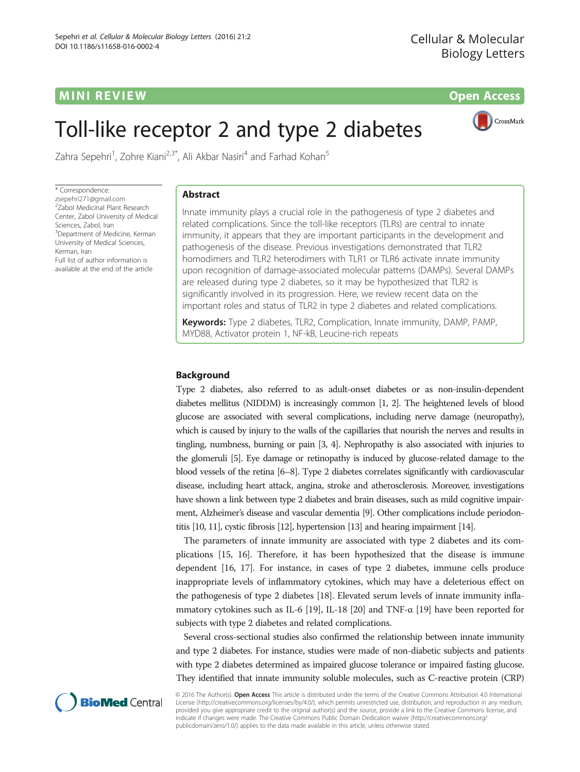# **MINI REVIEW CONTROL** CONTROL CONTROL CONTROL CONTROL CONTROL CONTROL CONTROL CONTROL CONTROL CONTROL CONTROL CONTROL CONTROL CONTROL CONTROL CONTROL CONTROL CONTROL CONTROL CONTROL CONTROL CONTROL CONTROL CONTROL CONTROL

# Toll-like receptor 2 and type 2 diabetes



Zahra Sepehri<sup>1</sup>, Zohre Kiani<sup>2,3\*</sup>, Ali Akbar Nasiri<sup>4</sup> and Farhad Kohan<sup>5</sup>

\* Correspondence: [zsepehri271@gmail.com](mailto:zsepehri271@gmail.com) 2 Zabol Medicinal Plant Research Center, Zabol University of Medical Sciences, Zabol, Iran <sup>3</sup>Department of Medicine, Kerman University of Medical Sciences, Kerman, Iran Full list of author information is available at the end of the article

# Abstract

Innate immunity plays a crucial role in the pathogenesis of type 2 diabetes and related complications. Since the toll-like receptors (TLRs) are central to innate immunity, it appears that they are important participants in the development and pathogenesis of the disease. Previous investigations demonstrated that TLR2 homodimers and TLR2 heterodimers with TLR1 or TLR6 activate innate immunity upon recognition of damage-associated molecular patterns (DAMPs). Several DAMPs are released during type 2 diabetes, so it may be hypothesized that TLR2 is significantly involved in its progression. Here, we review recent data on the important roles and status of TLR2 in type 2 diabetes and related complications.

Keywords: Type 2 diabetes, TLR2, Complication, Innate immunity, DAMP, PAMP, MYD88, Activator protein 1, NF-kB, Leucine-rich repeats

# Background

Type 2 diabetes, also referred to as adult-onset diabetes or as non-insulin-dependent diabetes mellitus (NIDDM) is increasingly common [\[1, 2\]](#page-6-0). The heightened levels of blood glucose are associated with several complications, including nerve damage (neuropathy), which is caused by injury to the walls of the capillaries that nourish the nerves and results in tingling, numbness, burning or pain [\[3, 4\]](#page-6-0). Nephropathy is also associated with injuries to the glomeruli [\[5\]](#page-6-0). Eye damage or retinopathy is induced by glucose-related damage to the blood vessels of the retina [[6](#page-6-0)–[8\]](#page-6-0). Type 2 diabetes correlates significantly with cardiovascular disease, including heart attack, angina, stroke and atherosclerosis. Moreover, investigations have shown a link between type 2 diabetes and brain diseases, such as mild cognitive impairment, Alzheimer's disease and vascular dementia [\[9\]](#page-6-0). Other complications include periodontitis [\[10, 11](#page-6-0)], cystic fibrosis [[12](#page-6-0)], hypertension [\[13](#page-6-0)] and hearing impairment [\[14](#page-6-0)].

The parameters of innate immunity are associated with type 2 diabetes and its complications [\[15, 16\]](#page-6-0). Therefore, it has been hypothesized that the disease is immune dependent [[16](#page-6-0), [17\]](#page-6-0). For instance, in cases of type 2 diabetes, immune cells produce inappropriate levels of inflammatory cytokines, which may have a deleterious effect on the pathogenesis of type 2 diabetes [[18](#page-6-0)]. Elevated serum levels of innate immunity infla-mmatory cytokines such as IL-6 [[19](#page-6-0)], IL-18 [[20](#page-7-0)] and TNF- $\alpha$  [\[19](#page-6-0)] have been reported for subjects with type 2 diabetes and related complications.

Several cross-sectional studies also confirmed the relationship between innate immunity and type 2 diabetes. For instance, studies were made of non-diabetic subjects and patients with type 2 diabetes determined as impaired glucose tolerance or impaired fasting glucose. They identified that innate immunity soluble molecules, such as C-reactive protein (CRP)



© 2016 The Author(s). Open Access This article is distributed under the terms of the Creative Commons Attribution 4.0 International License ([http://creativecommons.org/licenses/by/4.0/\)](http://creativecommons.org/licenses/by/4.0/), which permits unrestricted use, distribution, and reproduction in any medium, provided you give appropriate credit to the original author(s) and the source, provide a link to the Creative Commons license, and indicate if changes were made. The Creative Commons Public Domain Dedication waiver ([http://creativecommons.org/](http://creativecommons.org/publicdomain/zero/1.0/) [publicdomain/zero/1.0/\)](http://creativecommons.org/publicdomain/zero/1.0/) applies to the data made available in this article, unless otherwise stated.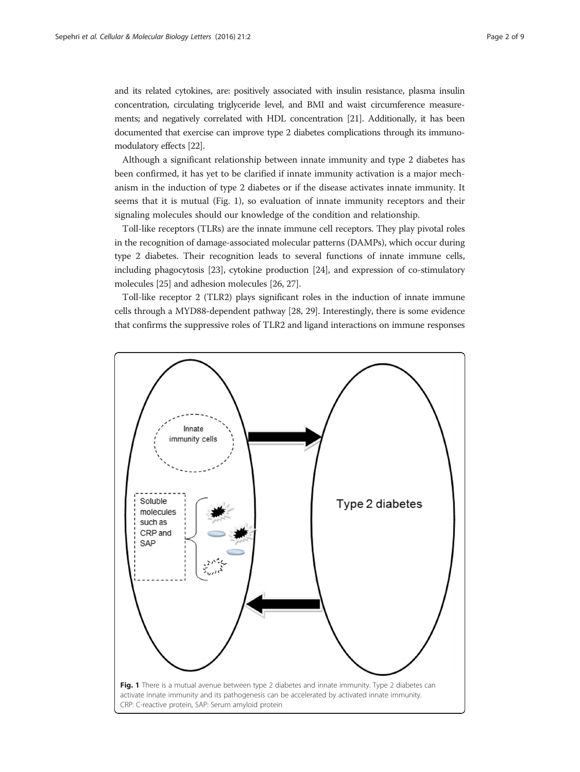and its related cytokines, are: positively associated with insulin resistance, plasma insulin concentration, circulating triglyceride level, and BMI and waist circumference measurements; and negatively correlated with HDL concentration [\[21\]](#page-7-0). Additionally, it has been documented that exercise can improve type 2 diabetes complications through its immunomodulatory effects [\[22](#page-7-0)].

Although a significant relationship between innate immunity and type 2 diabetes has been confirmed, it has yet to be clarified if innate immunity activation is a major mechanism in the induction of type 2 diabetes or if the disease activates innate immunity. It seems that it is mutual (Fig. 1), so evaluation of innate immunity receptors and their signaling molecules should our knowledge of the condition and relationship.

Toll-like receptors (TLRs) are the innate immune cell receptors. They play pivotal roles in the recognition of damage-associated molecular patterns (DAMPs), which occur during type 2 diabetes. Their recognition leads to several functions of innate immune cells, including phagocytosis [[23](#page-7-0)], cytokine production [\[24\]](#page-7-0), and expression of co-stimulatory molecules [\[25\]](#page-7-0) and adhesion molecules [\[26, 27\]](#page-7-0).

Toll-like receptor 2 (TLR2) plays significant roles in the induction of innate immune cells through a MYD88-dependent pathway [\[28, 29\]](#page-7-0). Interestingly, there is some evidence that confirms the suppressive roles of TLR2 and ligand interactions on immune responses

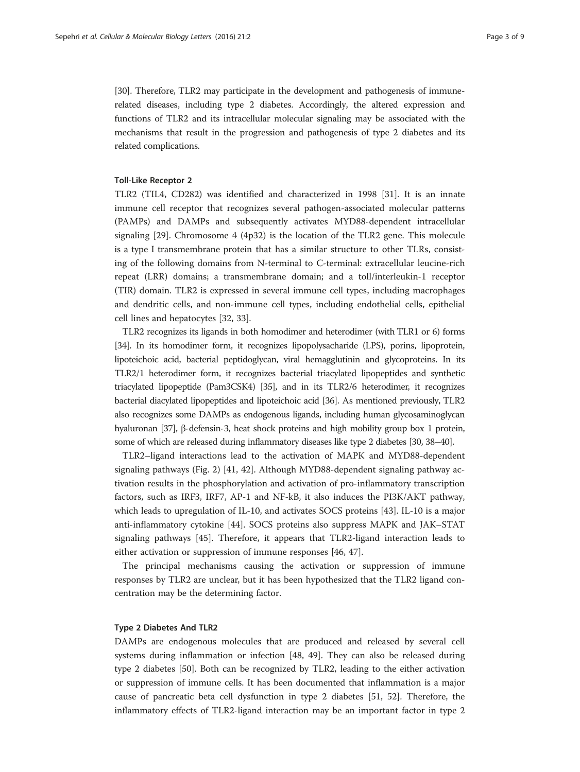[[30](#page-7-0)]. Therefore, TLR2 may participate in the development and pathogenesis of immunerelated diseases, including type 2 diabetes. Accordingly, the altered expression and functions of TLR2 and its intracellular molecular signaling may be associated with the mechanisms that result in the progression and pathogenesis of type 2 diabetes and its related complications.

# Toll-Like Receptor 2

TLR2 (TIL4, CD282) was identified and characterized in 1998 [\[31\]](#page-7-0). It is an innate immune cell receptor that recognizes several pathogen-associated molecular patterns (PAMPs) and DAMPs and subsequently activates MYD88-dependent intracellular signaling [[29](#page-7-0)]. Chromosome 4 (4p32) is the location of the TLR2 gene. This molecule is a type I transmembrane protein that has a similar structure to other TLRs, consisting of the following domains from N-terminal to C-terminal: extracellular leucine-rich repeat (LRR) domains; a transmembrane domain; and a toll/interleukin-1 receptor (TIR) domain. TLR2 is expressed in several immune cell types, including macrophages and dendritic cells, and non-immune cell types, including endothelial cells, epithelial cell lines and hepatocytes [[32, 33\]](#page-7-0).

TLR2 recognizes its ligands in both homodimer and heterodimer (with TLR1 or 6) forms [[34](#page-7-0)]. In its homodimer form, it recognizes lipopolysacharide (LPS), porins, lipoprotein, lipoteichoic acid, bacterial peptidoglycan, viral hemagglutinin and glycoproteins. In its TLR2/1 heterodimer form, it recognizes bacterial triacylated lipopeptides and synthetic triacylated lipopeptide (Pam3CSK4) [\[35\]](#page-7-0), and in its TLR2/6 heterodimer, it recognizes bacterial diacylated lipopeptides and lipoteichoic acid [\[36\]](#page-7-0). As mentioned previously, TLR2 also recognizes some DAMPs as endogenous ligands, including human glycosaminoglycan hyaluronan [\[37\]](#page-7-0), β-defensin-3, heat shock proteins and high mobility group box 1 protein, some of which are released during inflammatory diseases like type 2 diabetes [\[30, 38](#page-7-0)–[40\]](#page-7-0).

TLR2–ligand interactions lead to the activation of MAPK and MYD88-dependent signaling pathways (Fig. [2](#page-3-0)) [[41](#page-7-0), [42](#page-7-0)]. Although MYD88-dependent signaling pathway activation results in the phosphorylation and activation of pro-inflammatory transcription factors, such as IRF3, IRF7, AP-1 and NF-kB, it also induces the PI3K/AKT pathway, which leads to upregulation of IL-10, and activates SOCS proteins [\[43](#page-7-0)]. IL-10 is a major anti-inflammatory cytokine [[44\]](#page-7-0). SOCS proteins also suppress MAPK and JAK–STAT signaling pathways [\[45\]](#page-7-0). Therefore, it appears that TLR2-ligand interaction leads to either activation or suppression of immune responses [\[46](#page-7-0), [47\]](#page-7-0).

The principal mechanisms causing the activation or suppression of immune responses by TLR2 are unclear, but it has been hypothesized that the TLR2 ligand concentration may be the determining factor.

## Type 2 Diabetes And TLR2

DAMPs are endogenous molecules that are produced and released by several cell systems during inflammation or infection [\[48](#page-7-0), [49](#page-7-0)]. They can also be released during type 2 diabetes [[50\]](#page-7-0). Both can be recognized by TLR2, leading to the either activation or suppression of immune cells. It has been documented that inflammation is a major cause of pancreatic beta cell dysfunction in type 2 diabetes [\[51](#page-7-0), [52\]](#page-8-0). Therefore, the inflammatory effects of TLR2-ligand interaction may be an important factor in type 2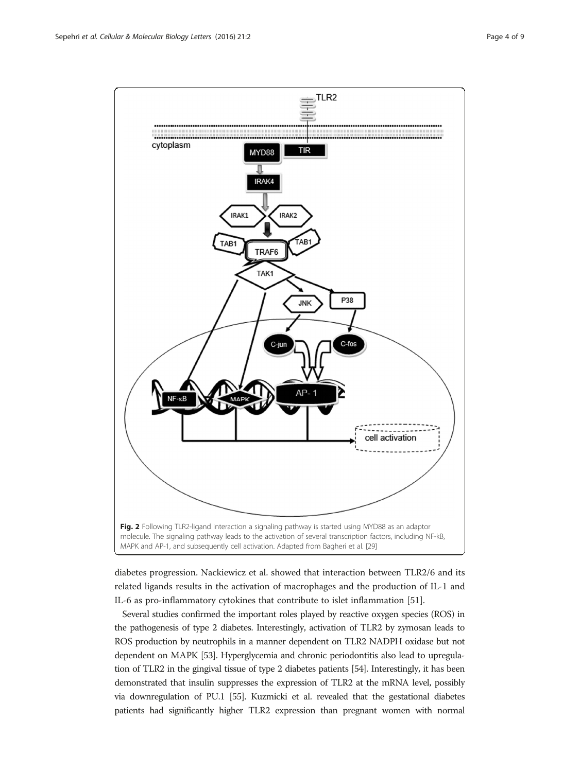<span id="page-3-0"></span>

diabetes progression. Nackiewicz et al. showed that interaction between TLR2/6 and its related ligands results in the activation of macrophages and the production of IL-1 and IL-6 as pro-inflammatory cytokines that contribute to islet inflammation [\[51](#page-7-0)].

Several studies confirmed the important roles played by reactive oxygen species (ROS) in the pathogenesis of type 2 diabetes. Interestingly, activation of TLR2 by zymosan leads to ROS production by neutrophils in a manner dependent on TLR2 NADPH oxidase but not dependent on MAPK [\[53\]](#page-8-0). Hyperglycemia and chronic periodontitis also lead to upregulation of TLR2 in the gingival tissue of type 2 diabetes patients [\[54](#page-8-0)]. Interestingly, it has been demonstrated that insulin suppresses the expression of TLR2 at the mRNA level, possibly via downregulation of PU.1 [[55](#page-8-0)]. Kuzmicki et al. revealed that the gestational diabetes patients had significantly higher TLR2 expression than pregnant women with normal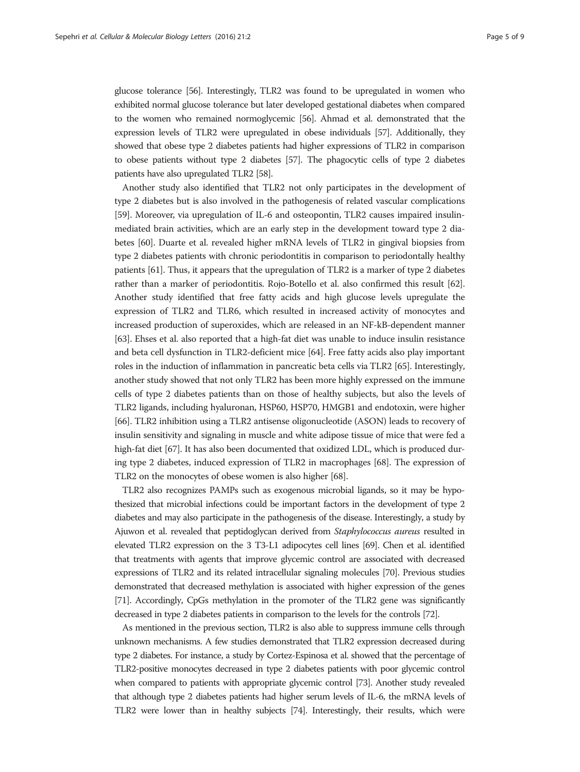glucose tolerance [\[56](#page-8-0)]. Interestingly, TLR2 was found to be upregulated in women who exhibited normal glucose tolerance but later developed gestational diabetes when compared to the women who remained normoglycemic [\[56\]](#page-8-0). Ahmad et al. demonstrated that the expression levels of TLR2 were upregulated in obese individuals [\[57\]](#page-8-0). Additionally, they showed that obese type 2 diabetes patients had higher expressions of TLR2 in comparison to obese patients without type 2 diabetes [\[57\]](#page-8-0). The phagocytic cells of type 2 diabetes patients have also upregulated TLR2 [\[58](#page-8-0)].

Another study also identified that TLR2 not only participates in the development of type 2 diabetes but is also involved in the pathogenesis of related vascular complications [[59](#page-8-0)]. Moreover, via upregulation of IL-6 and osteopontin, TLR2 causes impaired insulinmediated brain activities, which are an early step in the development toward type 2 diabetes [[60](#page-8-0)]. Duarte et al. revealed higher mRNA levels of TLR2 in gingival biopsies from type 2 diabetes patients with chronic periodontitis in comparison to periodontally healthy patients [[61](#page-8-0)]. Thus, it appears that the upregulation of TLR2 is a marker of type 2 diabetes rather than a marker of periodontitis. Rojo-Botello et al. also confirmed this result [[62](#page-8-0)]. Another study identified that free fatty acids and high glucose levels upregulate the expression of TLR2 and TLR6, which resulted in increased activity of monocytes and increased production of superoxides, which are released in an NF-kB-dependent manner [[63](#page-8-0)]. Ehses et al. also reported that a high-fat diet was unable to induce insulin resistance and beta cell dysfunction in TLR2-deficient mice [\[64](#page-8-0)]. Free fatty acids also play important roles in the induction of inflammation in pancreatic beta cells via TLR2 [\[65\]](#page-8-0). Interestingly, another study showed that not only TLR2 has been more highly expressed on the immune cells of type 2 diabetes patients than on those of healthy subjects, but also the levels of TLR2 ligands, including hyaluronan, HSP60, HSP70, HMGB1 and endotoxin, were higher [[66](#page-8-0)]. TLR2 inhibition using a TLR2 antisense oligonucleotide (ASON) leads to recovery of insulin sensitivity and signaling in muscle and white adipose tissue of mice that were fed a high-fat diet [\[67\]](#page-8-0). It has also been documented that oxidized LDL, which is produced during type 2 diabetes, induced expression of TLR2 in macrophages [\[68\]](#page-8-0). The expression of TLR2 on the monocytes of obese women is also higher [[68](#page-8-0)].

TLR2 also recognizes PAMPs such as exogenous microbial ligands, so it may be hypothesized that microbial infections could be important factors in the development of type 2 diabetes and may also participate in the pathogenesis of the disease. Interestingly, a study by Ajuwon et al. revealed that peptidoglycan derived from Staphylococcus aureus resulted in elevated TLR2 expression on the 3 T3-L1 adipocytes cell lines [\[69\]](#page-8-0). Chen et al. identified that treatments with agents that improve glycemic control are associated with decreased expressions of TLR2 and its related intracellular signaling molecules [\[70](#page-8-0)]. Previous studies demonstrated that decreased methylation is associated with higher expression of the genes [[71](#page-8-0)]. Accordingly, CpGs methylation in the promoter of the TLR2 gene was significantly decreased in type 2 diabetes patients in comparison to the levels for the controls [\[72\]](#page-8-0).

As mentioned in the previous section, TLR2 is also able to suppress immune cells through unknown mechanisms. A few studies demonstrated that TLR2 expression decreased during type 2 diabetes. For instance, a study by Cortez-Espinosa et al. showed that the percentage of TLR2-positive monocytes decreased in type 2 diabetes patients with poor glycemic control when compared to patients with appropriate glycemic control [\[73\]](#page-8-0). Another study revealed that although type 2 diabetes patients had higher serum levels of IL-6, the mRNA levels of TLR2 were lower than in healthy subjects [\[74\]](#page-8-0). Interestingly, their results, which were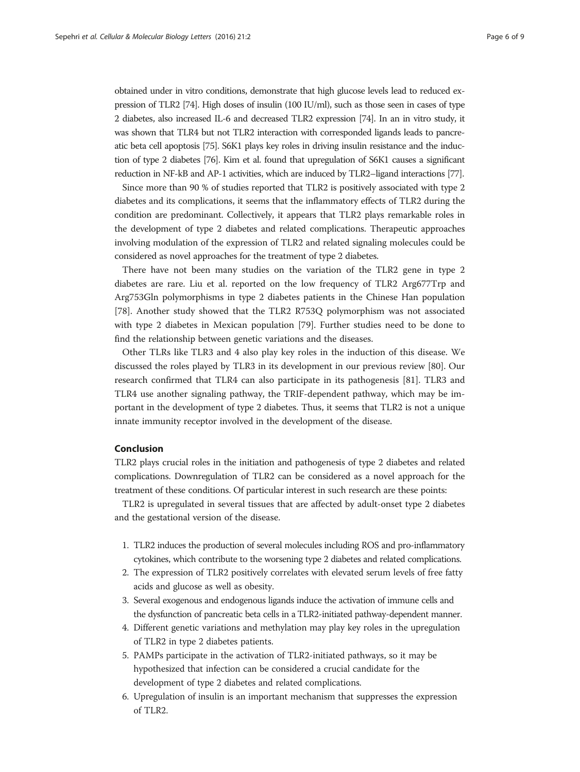obtained under in vitro conditions, demonstrate that high glucose levels lead to reduced expression of TLR2 [[74\]](#page-8-0). High doses of insulin (100 IU/ml), such as those seen in cases of type 2 diabetes, also increased IL-6 and decreased TLR2 expression [[74](#page-8-0)]. In an in vitro study, it was shown that TLR4 but not TLR2 interaction with corresponded ligands leads to pancreatic beta cell apoptosis [\[75](#page-8-0)]. S6K1 plays key roles in driving insulin resistance and the induction of type 2 diabetes [\[76](#page-8-0)]. Kim et al. found that upregulation of S6K1 causes a significant reduction in NF-kB and AP-1 activities, which are induced by TLR2–ligand interactions [[77\]](#page-8-0).

Since more than 90 % of studies reported that TLR2 is positively associated with type 2 diabetes and its complications, it seems that the inflammatory effects of TLR2 during the condition are predominant. Collectively, it appears that TLR2 plays remarkable roles in the development of type 2 diabetes and related complications. Therapeutic approaches involving modulation of the expression of TLR2 and related signaling molecules could be considered as novel approaches for the treatment of type 2 diabetes.

There have not been many studies on the variation of the TLR2 gene in type 2 diabetes are rare. Liu et al. reported on the low frequency of TLR2 Arg677Trp and Arg753Gln polymorphisms in type 2 diabetes patients in the Chinese Han population [[78\]](#page-8-0). Another study showed that the TLR2 R753Q polymorphism was not associated with type 2 diabetes in Mexican population [\[79](#page-8-0)]. Further studies need to be done to find the relationship between genetic variations and the diseases.

Other TLRs like TLR3 and 4 also play key roles in the induction of this disease. We discussed the roles played by TLR3 in its development in our previous review [[80\]](#page-8-0). Our research confirmed that TLR4 can also participate in its pathogenesis [[81\]](#page-8-0). TLR3 and TLR4 use another signaling pathway, the TRIF-dependent pathway, which may be important in the development of type 2 diabetes. Thus, it seems that TLR2 is not a unique innate immunity receptor involved in the development of the disease.

# Conclusion

TLR2 plays crucial roles in the initiation and pathogenesis of type 2 diabetes and related complications. Downregulation of TLR2 can be considered as a novel approach for the treatment of these conditions. Of particular interest in such research are these points:

TLR2 is upregulated in several tissues that are affected by adult-onset type 2 diabetes and the gestational version of the disease.

- 1. TLR2 induces the production of several molecules including ROS and pro-inflammatory cytokines, which contribute to the worsening type 2 diabetes and related complications.
- 2. The expression of TLR2 positively correlates with elevated serum levels of free fatty acids and glucose as well as obesity.
- 3. Several exogenous and endogenous ligands induce the activation of immune cells and the dysfunction of pancreatic beta cells in a TLR2-initiated pathway-dependent manner.
- 4. Different genetic variations and methylation may play key roles in the upregulation of TLR2 in type 2 diabetes patients.
- 5. PAMPs participate in the activation of TLR2-initiated pathways, so it may be hypothesized that infection can be considered a crucial candidate for the development of type 2 diabetes and related complications.
- 6. Upregulation of insulin is an important mechanism that suppresses the expression of TLR2.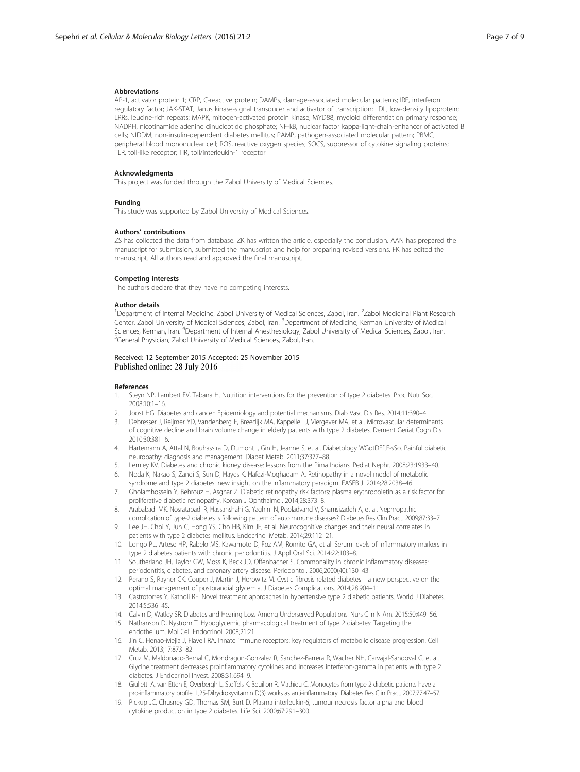#### <span id="page-6-0"></span>Abbreviations

AP-1, activator protein 1; CRP, C-reactive protein; DAMPs, damage-associated molecular patterns; IRF, interferon regulatory factor; JAK-STAT, Janus kinase-signal transducer and activator of transcription; LDL, low-density lipoprotein; LRRs, leucine-rich repeats; MAPK, mitogen-activated protein kinase; MYD88, myeloid differentiation primary response; NADPH, nicotinamide adenine dinucleotide phosphate; NF-kB, nuclear factor kappa-light-chain-enhancer of activated B cells; NIDDM, non-insulin-dependent diabetes mellitus; PAMP, pathogen-associated molecular pattern; PBMC, peripheral blood mononuclear cell; ROS, reactive oxygen species; SOCS, suppressor of cytokine signaling proteins; TLR, toll-like receptor; TIR, toll/interleukin-1 receptor

#### **Acknowledgments**

This project was funded through the Zabol University of Medical Sciences.

#### Funding

This study was supported by Zabol University of Medical Sciences.

#### Authors' contributions

ZS has collected the data from database. ZK has written the article, especially the conclusion. AAN has prepared the manuscript for submission, submitted the manuscript and help for preparing revised versions. FK has edited the manuscript. All authors read and approved the final manuscript.

#### Competing interests

The authors declare that they have no competing interests.

#### Author details

<sup>1</sup>Department of Internal Medicine, Zabol University of Medical Sciences, Zabol, Iran. <sup>2</sup>Zabol Medicinal Plant Research Center, Zabol University of Medical Sciences, Zabol, Iran. <sup>3</sup>Department of Medicine, Kerman University of Medical Sciences, Kerman, Iran. <sup>4</sup>Department of Internal Anesthesiology, Zabol University of Medical Sciences, Zabol, Iran.<br><sup>5</sup>Conesel Physician, Zabol University of Medical Sciences, Zabol, Iran. <sup>5</sup>General Physician, Zabol University of Medical Sciences, Zabol, Iran.

### Received: 12 September 2015 Accepted: 25 November 2015 Published online: 28 July 2016

#### References

- Steyn NP, Lambert EV, Tabana H. Nutrition interventions for the prevention of type 2 diabetes. Proc Nutr Soc. 2008;10:1–16.
- 2. Joost HG. Diabetes and cancer: Epidemiology and potential mechanisms. Diab Vasc Dis Res. 2014;11:390–4.
- Debresser J, Reijmer YD, Vandenberg E, Breedijk MA, Kappelle LJ, Viergever MA, et al. Microvascular determinants of cognitive decline and brain volume change in elderly patients with type 2 diabetes. Dement Geriat Cogn Dis. 2010;30:381–6.
- 4. Hartemann A, Attal N, Bouhassira D, Dumont I, Gin H, Jeanne S, et al. Diabetology WGotDFftF-sSo. Painful diabetic neuropathy: diagnosis and management. Diabet Metab. 2011;37:377–88.
- 5. Lemley KV. Diabetes and chronic kidney disease: lessons from the Pima Indians. Pediat Nephr. 2008;23:1933–40.
- 6. Noda K, Nakao S, Zandi S, Sun D, Hayes K, Hafezi-Moghadam A. Retinopathy in a novel model of metabolic syndrome and type 2 diabetes: new insight on the inflammatory paradigm. FASEB J. 2014;28:2038–46.
- 7. Gholamhossein Y, Behrouz H, Asghar Z. Diabetic retinopathy risk factors: plasma erythropoietin as a risk factor for proliferative diabetic retinopathy. Korean J Ophthalmol. 2014;28:373–8.
- 8. Arababadi MK, Nosratabadi R, Hassanshahi G, Yaghini N, Pooladvand V, Shamsizadeh A, et al. Nephropathic complication of type-2 diabetes is following pattern of autoimmune diseases? Diabetes Res Clin Pract. 2009;87:33–7.
- 9. Lee JH, Choi Y, Jun C, Hong YS, Cho HB, Kim JE, et al. Neurocognitive changes and their neural correlates in patients with type 2 diabetes mellitus. Endocrinol Metab. 2014;29:112–21.
- 10. Longo PL, Artese HP, Rabelo MS, Kawamoto D, Foz AM, Romito GA, et al. Serum levels of inflammatory markers in type 2 diabetes patients with chronic periodontitis. J Appl Oral Sci. 2014;22:103–8.
- 11. Southerland JH, Taylor GW, Moss K, Beck JD, Offenbacher S. Commonality in chronic inflammatory diseases: periodontitis, diabetes, and coronary artery disease. Periodontol. 2006;2000(40):130–43.
- 12. Perano S, Rayner CK, Couper J, Martin J, Horowitz M. Cystic fibrosis related diabetes—a new perspective on the optimal management of postprandial glycemia. J Diabetes Complications. 2014;28:904–11.
- 13. Castrotorres Y, Katholi RE. Novel treatment approaches in hypertensive type 2 diabetic patients. World J Diabetes. 2014;5:536–45.
- 14. Calvin D, Watley SR. Diabetes and Hearing Loss Among Underserved Populations. Nurs Clin N Am. 2015;50:449–56.
- 15. Nathanson D, Nystrom T. Hypoglycemic pharmacological treatment of type 2 diabetes: Targeting the endothelium. Mol Cell Endocrinol. 2008;21:21.
- 16. Jin C, Henao-Mejia J, Flavell RA. Innate immune receptors: key regulators of metabolic disease progression. Cell Metab. 2013;17:873–82.
- 17. Cruz M, Maldonado-Bernal C, Mondragon-Gonzalez R, Sanchez-Barrera R, Wacher NH, Carvajal-Sandoval G, et al. Glycine treatment decreases proinflammatory cytokines and increases interferon-gamma in patients with type 2 diabetes. J Endocrinol Invest. 2008;31:694–9.
- 18. Giulietti A, van Etten E, Overbergh L, Stoffels K, Bouillon R, Mathieu C. Monocytes from type 2 diabetic patients have a pro-inflammatory profile. 1,25-Dihydroxyvitamin D(3) works as anti-inflammatory. Diabetes Res Clin Pract. 2007;77:47–57.
- 19. Pickup JC, Chusney GD, Thomas SM, Burt D. Plasma interleukin-6, tumour necrosis factor alpha and blood cytokine production in type 2 diabetes. Life Sci. 2000;67:291–300.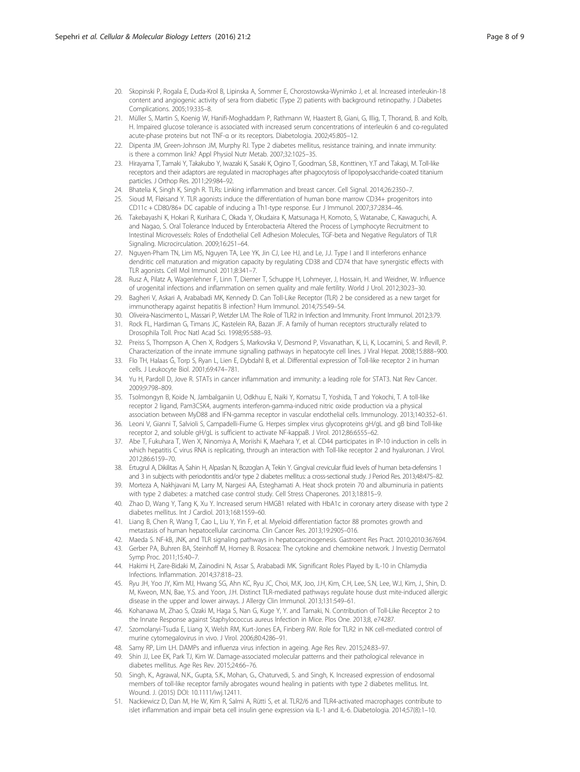- <span id="page-7-0"></span>20. Skopinski P, Rogala E, Duda-Krol B, Lipinska A, Sommer E, Chorostowska-Wynimko J, et al. Increased interleukin-18 content and angiogenic activity of sera from diabetic (Type 2) patients with background retinopathy. J Diabetes Complications. 2005;19:335–8.
- 21. Müller S, Martin S, Koenig W, Hanifi-Moghaddam P, Rathmann W, Haastert B, Giani, G, Illig, T, Thorand, B. and Kolb, H. Impaired glucose tolerance is associated with increased serum concentrations of interleukin 6 and co-regulated acute-phase proteins but not TNF-α or its receptors. Diabetologia. 2002;45:805–12.
- 22. Dipenta JM, Green-Johnson JM, Murphy RJ. Type 2 diabetes mellitus, resistance training, and innate immunity: is there a common link? Appl Physiol Nutr Metab. 2007;32:1025–35.
- 23. Hirayama T, Tamaki Y, Takakubo Y, Iwazaki K, Sasaki K, Ogino T, Goodman, S.B., Konttinen, Y.T and Takagi, M. Toll-like receptors and their adaptors are regulated in macrophages after phagocytosis of lipopolysaccharide-coated titanium particles. J Orthop Res. 2011;29:984–92.
- 24. Bhatelia K, Singh K, Singh R. TLRs: Linking inflammation and breast cancer. Cell Signal. 2014;26:2350–7.
- 25. Sioud M, Fløisand Y. TLR agonists induce the differentiation of human bone marrow CD34+ progenitors into CD11c + CD80/86+ DC capable of inducing a Th1-type response. Eur J Immunol. 2007;37:2834–46.
- 26. Takebayashi K, Hokari R, Kurihara C, Okada Y, Okudaira K, Matsunaga H, Komoto, S, Watanabe, C, Kawaguchi, A. and Nagao, S. Oral Tolerance Induced by Enterobacteria Altered the Process of Lymphocyte Recruitment to Intestinal Microvessels: Roles of Endothelial Cell Adhesion Molecules, TGF-beta and Negative Regulators of TLR Signaling. Microcirculation. 2009;16:251–64.
- 27. Nguyen-Pham TN, Lim MS, Nguyen TA, Lee YK, Jin CJ, Lee HJ, and Le, J.J. Type I and II interferons enhance dendritic cell maturation and migration capacity by regulating CD38 and CD74 that have synergistic effects with TLR agonists. Cell Mol Immunol. 2011;8:341–7.
- 28. Rusz A, Pilatz A, Wagenlehner F, Linn T, Diemer T, Schuppe H, Lohmeyer, J, Hossain, H. and Weidner, W. Influence of urogenital infections and inflammation on semen quality and male fertility. World J Urol. 2012;30:23–30.
- 29. Bagheri V, Askari A, Arababadi MK, Kennedy D. Can Toll-Like Receptor (TLR) 2 be considered as a new target for immunotherapy against hepatitis B infection? Hum Immunol. 2014;75:549–54.
- 30. Oliveira-Nascimento L, Massari P, Wetzler LM. The Role of TLR2 in Infection and Immunity. Front Immunol. 2012;3:79.
- 31. Rock FL, Hardiman G, Timans JC, Kastelein RA, Bazan JF. A family of human receptors structurally related to Drosophila Toll. Proc Natl Acad Sci. 1998;95:588–93.
- 32. Preiss S, Thompson A, Chen X, Rodgers S, Markovska V, Desmond P, Visvanathan, K, Li, K, Locarnini, S. and Revill, P. Characterization of the innate immune signalling pathways in hepatocyte cell lines. J Viral Hepat. 2008;15:888–900.
- 33. Flo TH, Halaas Ĝ, Torp S, Ryan L, Lien E, Dybdahl B, et al. Differential expression of Toll-like receptor 2 in human cells. J Leukocyte Biol. 2001;69:474–781.
- 34. Yu H, Pardoll D, Jove R. STATs in cancer inflammation and immunity: a leading role for STAT3. Nat Rev Cancer. 2009;9:798–809.
- 35. Tsolmongyn B, Koide N, Jambalganiin U, Odkhuu E, Naiki Y, Komatsu T, Yoshida, T and Yokochi, T. A toll-like receptor 2 ligand, Pam3CSK4, augments interferon-gamma-induced nitric oxide production via a physical association between MyD88 and IFN-gamma receptor in vascular endothelial cells. Immunology. 2013;140:352–61.
- 36. Leoni V, Gianni T, Salvioli S, Campadelli-Fiume G. Herpes simplex virus glycoproteins gH/gL and gB bind Toll-like receptor 2, and soluble gH/gL is sufficient to activate NF-kappaB. J Virol. 2012;86:6555–62.
- 37. Abe T, Fukuhara T, Wen X, Ninomiya A, Moriishi K, Maehara Y, et al. CD44 participates in IP-10 induction in cells in which hepatitis C virus RNA is replicating, through an interaction with Toll-like receptor 2 and hyaluronan. J Virol. 2012;86:6159–70.
- 38. Ertugrul A, Dikilitas A, Sahin H, Alpaslan N, Bozoglan A, Tekin Y. Gingival crevicular fluid levels of human beta-defensins 1 and 3 in subjects with periodontitis and/or type 2 diabetes mellitus: a cross-sectional study. J Period Res. 2013;48:475-82.
- 39. Morteza A, Nakhjavani M, Larry M, Nargesi AA, Esteghamati A. Heat shock protein 70 and albuminuria in patients with type 2 diabetes: a matched case control study. Cell Stress Chaperones. 2013;18:815–9.
- 40. Zhao D, Wang Y, Tang K, Xu Y. Increased serum HMGB1 related with HbA1c in coronary artery disease with type 2 diabetes mellitus. Int J Cardiol. 2013;168:1559–60.
- 41. Liang B, Chen R, Wang T, Cao L, Liu Y, Yin F, et al. Myeloid differentiation factor 88 promotes growth and metastasis of human hepatocellular carcinoma. Clin Cancer Res. 2013;19:2905–016.
- 42. Maeda S. NF-kB, JNK, and TLR signaling pathways in hepatocarcinogenesis. Gastroent Res Pract. 2010;2010:367694. 43. Gerber PA, Buhren BA, Steinhoff M, Homey B. Rosacea: The cytokine and chemokine network. J Investig Dermatol
- Symp Proc. 2011;15:40–7. 44. Hakimi H, Zare-Bidaki M, Zainodini N, Assar S, Arababadi MK. Significant Roles Played by IL-10 in Chlamydia
- Infections. Inflammation. 2014;37:818–23.
- 45. Ryu JH, Yoo JY, Kim MJ, Hwang SG, Ahn KC, Ryu JC, Choi, M.K, Joo, J.H, Kim, C.H, Lee, S.N, Lee, W.J, Kim, J., Shin, D. M, Kweon, M.N, Bae, Y.S. and Yoon, J.H. Distinct TLR-mediated pathways regulate house dust mite-induced allergic disease in the upper and lower airways. J Allergy Clin Immunol. 2013;131:549–61.
- 46. Kohanawa M, Zhao S, Ozaki M, Haga S, Nan G, Kuge Y, Y. and Tamaki, N. Contribution of Toll-Like Receptor 2 to the Innate Response against Staphylococcus aureus Infection in Mice. Plos One. 2013;8, e74287.
- 47. Szomolanyi-Tsuda E, Liang X, Welsh RM, Kurt-Jones EA, Finberg RW. Role for TLR2 in NK cell-mediated control of murine cytomegalovirus in vivo. J Virol. 2006;80:4286–91.
- 48. Samy RP, Lim LH. DAMPs and influenza virus infection in ageing. Age Res Rev. 2015;24:83–97.
- 49. Shin JJ, Lee EK, Park TJ, Kim W. Damage-associated molecular patterns and their pathological relevance in diabetes mellitus. Age Res Rev. 2015;24:66–76.
- 50. Singh, K., Agrawal, N.K., Gupta, S.K., Mohan, G., Chaturvedi, S. and Singh, K. Increased expression of endosomal members of toll-like receptor family abrogates wound healing in patients with type 2 diabetes mellitus. Int. Wound. J. (2015) DOI: [10.1111/iwj.12411.](http://dx.doi.org/10.1111/iwj.12411)
- 51. Nackiewicz D, Dan M, He W, Kim R, Salmi A, Rütti S, et al. TLR2/6 and TLR4-activated macrophages contribute to islet inflammation and impair beta cell insulin gene expression via IL-1 and IL-6. Diabetologia. 2014;57(8):1–10.